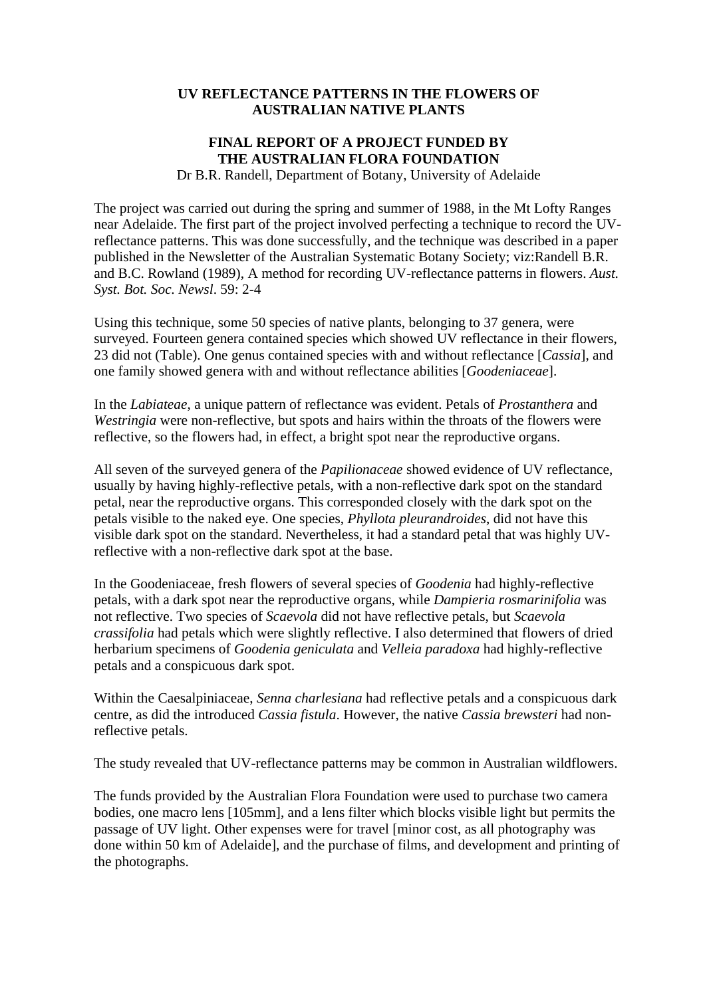## **UV REFLECTANCE PATTERNS IN THE FLOWERS OF AUSTRALIAN NATIVE PLANTS**

## **FINAL REPORT OF A PROJECT FUNDED BY THE AUSTRALIAN FLORA FOUNDATION**  Dr B.R. Randell, Department of Botany, University of Adelaide

The project was carried out during the spring and summer of 1988, in the Mt Lofty Ranges near Adelaide. The first part of the project involved perfecting a technique to record the UVreflectance patterns. This was done successfully, and the technique was described in a paper published in the Newsletter of the Australian Systematic Botany Society; viz:Randell B.R. and B.C. Rowland (1989), A method for recording UV-reflectance patterns in flowers. *Aust. Syst. Bot. Soc. Newsl*. 59: 2-4

Using this technique, some 50 species of native plants, belonging to 37 genera, were surveyed. Fourteen genera contained species which showed UV reflectance in their flowers, 23 did not (Table). One genus contained species with and without reflectance [*Cassia*], and one family showed genera with and without reflectance abilities [*Goodeniaceae*].

In the *Labiateae*, a unique pattern of reflectance was evident. Petals of *Prostanthera* and *Westringia* were non-reflective, but spots and hairs within the throats of the flowers were reflective, so the flowers had, in effect, a bright spot near the reproductive organs.

All seven of the surveyed genera of the *Papilionaceae* showed evidence of UV reflectance, usually by having highly-reflective petals, with a non-reflective dark spot on the standard petal, near the reproductive organs. This corresponded closely with the dark spot on the petals visible to the naked eye. One species, *Phyllota pleurandroides*, did not have this visible dark spot on the standard. Nevertheless, it had a standard petal that was highly UVreflective with a non-reflective dark spot at the base.

In the Goodeniaceae, fresh flowers of several species of *Goodenia* had highly-reflective petals, with a dark spot near the reproductive organs, while *Dampieria rosmarinifolia* was not reflective. Two species of *Scaevola* did not have reflective petals, but *Scaevola crassifolia* had petals which were slightly reflective. I also determined that flowers of dried herbarium specimens of *Goodenia geniculata* and *Velleia paradoxa* had highly-reflective petals and a conspicuous dark spot.

Within the Caesalpiniaceae, *Senna charlesiana* had reflective petals and a conspicuous dark centre, as did the introduced *Cassia fistula*. However, the native *Cassia brewsteri* had nonreflective petals.

The study revealed that UV-reflectance patterns may be common in Australian wildflowers.

The funds provided by the Australian Flora Foundation were used to purchase two camera bodies, one macro lens [105mm], and a lens filter which blocks visible light but permits the passage of UV light. Other expenses were for travel [minor cost, as all photography was done within 50 km of Adelaide], and the purchase of films, and development and printing of the photographs.